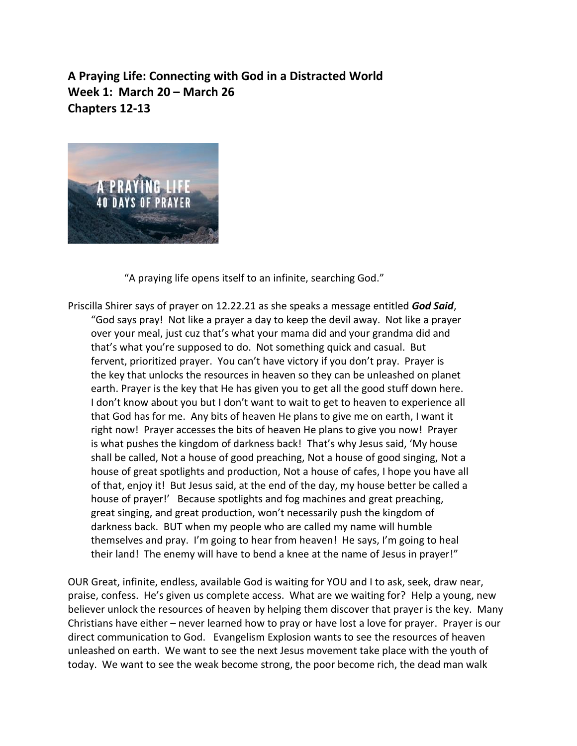**A Praying Life: Connecting with God in a Distracted World Week 1: March 20 – March 26 Chapters 12-13**



"A praying life opens itself to an infinite, searching God."

Priscilla Shirer says of prayer on 12.22.21 as she speaks a message entitled *God Said*, "God says pray! Not like a prayer a day to keep the devil away. Not like a prayer over your meal, just cuz that's what your mama did and your grandma did and that's what you're supposed to do. Not something quick and casual. But fervent, prioritized prayer. You can't have victory if you don't pray. Prayer is the key that unlocks the resources in heaven so they can be unleashed on planet earth. Prayer is the key that He has given you to get all the good stuff down here. I don't know about you but I don't want to wait to get to heaven to experience all that God has for me. Any bits of heaven He plans to give me on earth, I want it right now! Prayer accesses the bits of heaven He plans to give you now! Prayer is what pushes the kingdom of darkness back! That's why Jesus said, 'My house shall be called, Not a house of good preaching, Not a house of good singing, Not a house of great spotlights and production, Not a house of cafes, I hope you have all of that, enjoy it! But Jesus said, at the end of the day, my house better be called a house of prayer!' Because spotlights and fog machines and great preaching, great singing, and great production, won't necessarily push the kingdom of darkness back. BUT when my people who are called my name will humble themselves and pray. I'm going to hear from heaven! He says, I'm going to heal their land! The enemy will have to bend a knee at the name of Jesus in prayer!"

OUR Great, infinite, endless, available God is waiting for YOU and I to ask, seek, draw near, praise, confess. He's given us complete access. What are we waiting for? Help a young, new believer unlock the resources of heaven by helping them discover that prayer is the key. Many Christians have either – never learned how to pray or have lost a love for prayer. Prayer is our direct communication to God. Evangelism Explosion wants to see the resources of heaven unleashed on earth. We want to see the next Jesus movement take place with the youth of today. We want to see the weak become strong, the poor become rich, the dead man walk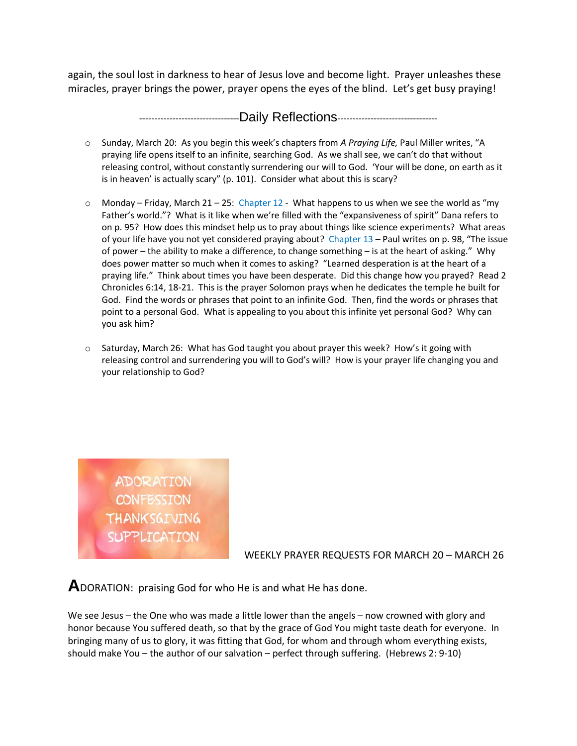again, the soul lost in darkness to hear of Jesus love and become light. Prayer unleashes these miracles, prayer brings the power, prayer opens the eyes of the blind. Let's get busy praying!

---------------------------------Daily Reflections---------------------------------

- o Sunday, March 20: As you begin this week's chapters from *A Praying Life,* Paul Miller writes, "A praying life opens itself to an infinite, searching God. As we shall see, we can't do that without releasing control, without constantly surrendering our will to God. 'Your will be done, on earth as it is in heaven' is actually scary" (p. 101). Consider what about this is scary?
- $\circ$  Monday Friday, March 21 25: Chapter 12 What happens to us when we see the world as "my Father's world."? What is it like when we're filled with the "expansiveness of spirit" Dana refers to on p. 95? How does this mindset help us to pray about things like science experiments? What areas of your life have you not yet considered praying about? Chapter 13 – Paul writes on p. 98, "The issue of power – the ability to make a difference, to change something – is at the heart of asking." Why does power matter so much when it comes to asking? "Learned desperation is at the heart of a praying life." Think about times you have been desperate. Did this change how you prayed? Read 2 Chronicles 6:14, 18-21. This is the prayer Solomon prays when he dedicates the temple he built for God. Find the words or phrases that point to an infinite God. Then, find the words or phrases that point to a personal God. What is appealing to you about this infinite yet personal God? Why can you ask him?
- $\circ$  Saturday, March 26: What has God taught you about prayer this week? How's it going with releasing control and surrendering you will to God's will? How is your prayer life changing you and your relationship to God?

ADORATION **CONFESSION THANKSGIVING SUPPLICATION** 

WEEKLY PRAYER REQUESTS FOR MARCH 20 – MARCH 26

**A**DORATION: praising God for who He is and what He has done.

We see Jesus – the One who was made a little lower than the angels – now crowned with glory and honor because You suffered death, so that by the grace of God You might taste death for everyone. In bringing many of us to glory, it was fitting that God, for whom and through whom everything exists, should make You – the author of our salvation – perfect through suffering. (Hebrews 2: 9-10)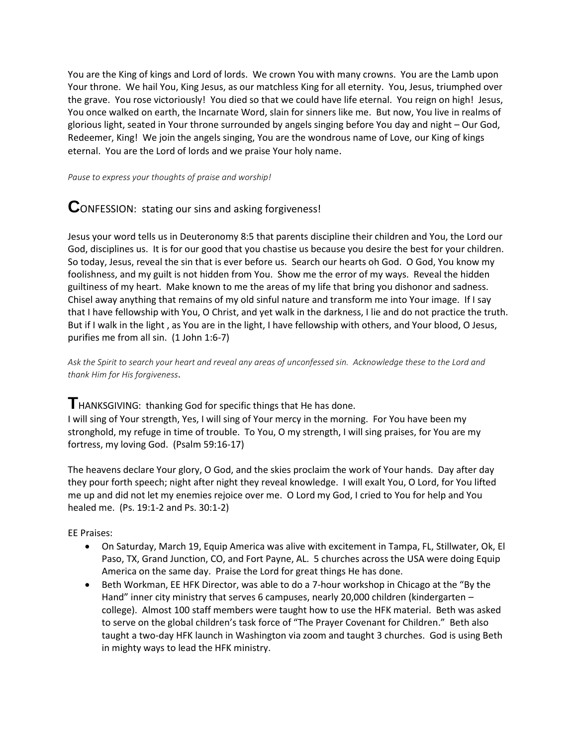You are the King of kings and Lord of lords. We crown You with many crowns. You are the Lamb upon Your throne. We hail You, King Jesus, as our matchless King for all eternity. You, Jesus, triumphed over the grave. You rose victoriously! You died so that we could have life eternal. You reign on high! Jesus, You once walked on earth, the Incarnate Word, slain for sinners like me. But now, You live in realms of glorious light, seated in Your throne surrounded by angels singing before You day and night – Our God, Redeemer, King! We join the angels singing, You are the wondrous name of Love, our King of kings eternal. You are the Lord of lords and we praise Your holy name.

*Pause to express your thoughts of praise and worship!*

## **C**ONFESSION: stating our sins and asking forgiveness!

Jesus your word tells us in Deuteronomy 8:5 that parents discipline their children and You, the Lord our God, disciplines us. It is for our good that you chastise us because you desire the best for your children. So today, Jesus, reveal the sin that is ever before us. Search our hearts oh God. O God, You know my foolishness, and my guilt is not hidden from You. Show me the error of my ways. Reveal the hidden guiltiness of my heart. Make known to me the areas of my life that bring you dishonor and sadness. Chisel away anything that remains of my old sinful nature and transform me into Your image. If I say that I have fellowship with You, O Christ, and yet walk in the darkness, I lie and do not practice the truth. But if I walk in the light , as You are in the light, I have fellowship with others, and Your blood, O Jesus, purifies me from all sin. (1 John 1:6-7)

*Ask the Spirit to search your heart and reveal any areas of unconfessed sin. Acknowledge these to the Lord and thank Him for His forgiveness*.

**T**HANKSGIVING: thanking God for specific things that He has done.

I will sing of Your strength, Yes, I will sing of Your mercy in the morning. For You have been my stronghold, my refuge in time of trouble. To You, O my strength, I will sing praises, for You are my fortress, my loving God. (Psalm 59:16-17)

The heavens declare Your glory, O God, and the skies proclaim the work of Your hands. Day after day they pour forth speech; night after night they reveal knowledge. I will exalt You, O Lord, for You lifted me up and did not let my enemies rejoice over me. O Lord my God, I cried to You for help and You healed me. (Ps. 19:1-2 and Ps. 30:1-2)

EE Praises:

- On Saturday, March 19, Equip America was alive with excitement in Tampa, FL, Stillwater, Ok, El Paso, TX, Grand Junction, CO, and Fort Payne, AL. 5 churches across the USA were doing Equip America on the same day. Praise the Lord for great things He has done.
- Beth Workman, EE HFK Director, was able to do a 7-hour workshop in Chicago at the "By the Hand" inner city ministry that serves 6 campuses, nearly 20,000 children (kindergarten – college). Almost 100 staff members were taught how to use the HFK material. Beth was asked to serve on the global children's task force of "The Prayer Covenant for Children." Beth also taught a two-day HFK launch in Washington via zoom and taught 3 churches. God is using Beth in mighty ways to lead the HFK ministry.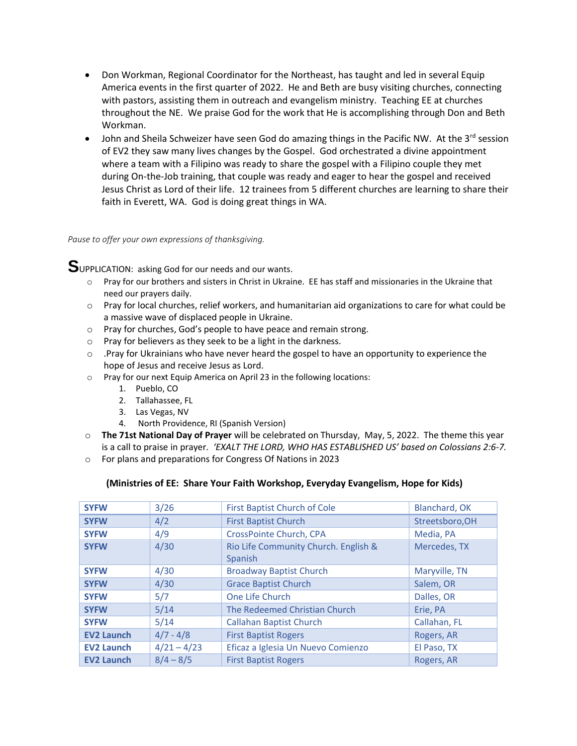- Don Workman, Regional Coordinator for the Northeast, has taught and led in several Equip America events in the first quarter of 2022. He and Beth are busy visiting churches, connecting with pastors, assisting them in outreach and evangelism ministry. Teaching EE at churches throughout the NE. We praise God for the work that He is accomplishing through Don and Beth Workman.
- John and Sheila Schweizer have seen God do amazing things in the Pacific NW. At the  $3^{rd}$  session of EV2 they saw many lives changes by the Gospel. God orchestrated a divine appointment where a team with a Filipino was ready to share the gospel with a Filipino couple they met during On-the-Job training, that couple was ready and eager to hear the gospel and received Jesus Christ as Lord of their life. 12 trainees from 5 different churches are learning to share their faith in Everett, WA. God is doing great things in WA.

## *Pause to offer your own expressions of thanksgiving.*

**S**UPPLICATION: asking God for our needs and our wants.

- o Pray for our brothers and sisters in Christ in Ukraine. EE has staff and missionaries in the Ukraine that need our prayers daily.
- o Pray for local churches, relief workers, and humanitarian aid organizations to care for what could be a massive wave of displaced people in Ukraine.
- o Pray for churches, God's people to have peace and remain strong.
- o Pray for believers as they seek to be a light in the darkness.
- $\circ$  . Pray for Ukrainians who have never heard the gospel to have an opportunity to experience the hope of Jesus and receive Jesus as Lord.
- o Pray for our next Equip America on April 23 in the following locations:
	- 1. Pueblo, CO
	- 2. Tallahassee, FL
	- 3. Las Vegas, NV
	- 4. North Providence, RI (Spanish Version)
- o **The 71st National Day of Prayer** will be celebrated on Thursday, May, 5, 2022. The theme this year is a call to praise in prayer*. 'EXALT THE LORD, WHO HAS ESTABLISHED US' based on Colossians 2:6-7.*
- o For plans and preparations for Congress Of Nations in 2023

## **(Ministries of EE: Share Your Faith Workshop, Everyday Evangelism, Hope for Kids)**

| <b>SYFW</b>       | 3/26          | <b>First Baptist Church of Cole</b>  | Blanchard, OK   |
|-------------------|---------------|--------------------------------------|-----------------|
| <b>SYFW</b>       | 4/2           | <b>First Baptist Church</b>          | Streetsboro, OH |
| <b>SYFW</b>       | 4/9           | CrossPointe Church, CPA              | Media, PA       |
| <b>SYFW</b>       | 4/30          | Rio Life Community Church. English & | Mercedes, TX    |
|                   |               | Spanish                              |                 |
| <b>SYFW</b>       | 4/30          | <b>Broadway Baptist Church</b>       | Maryville, TN   |
| <b>SYFW</b>       | 4/30          | <b>Grace Baptist Church</b>          | Salem, OR       |
| <b>SYFW</b>       | 5/7           | One Life Church                      | Dalles, OR      |
| <b>SYFW</b>       | 5/14          | The Redeemed Christian Church        | Erie, PA        |
| <b>SYFW</b>       | 5/14          | <b>Callahan Baptist Church</b>       | Callahan, FL    |
| <b>EV2 Launch</b> | $4/7 - 4/8$   | <b>First Baptist Rogers</b>          | Rogers, AR      |
| <b>EV2 Launch</b> | $4/21 - 4/23$ | Eficaz a Iglesia Un Nuevo Comienzo   | El Paso, TX     |
| <b>EV2 Launch</b> | $8/4 - 8/5$   | <b>First Baptist Rogers</b>          | Rogers, AR      |